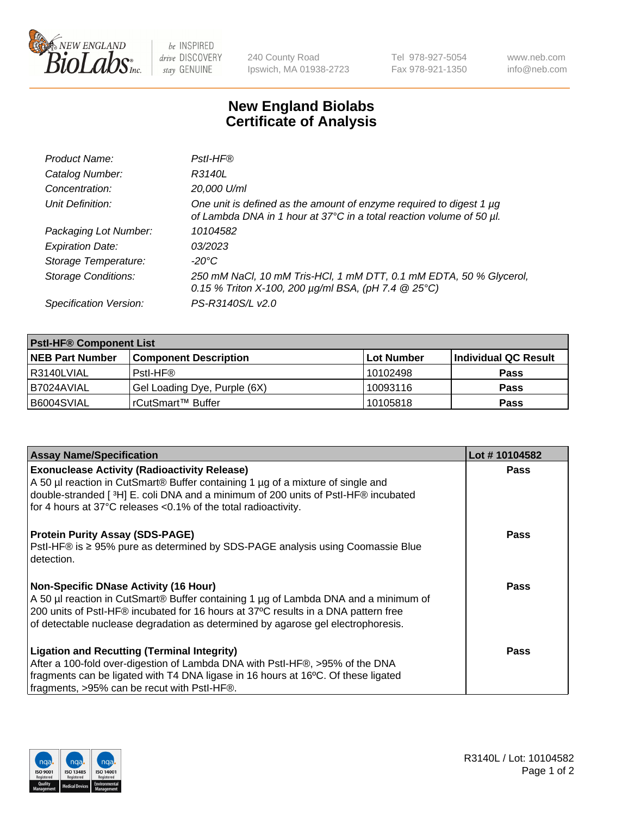

 $be$  INSPIRED drive DISCOVERY stay GENUINE

240 County Road Ipswich, MA 01938-2723 Tel 978-927-5054 Fax 978-921-1350 www.neb.com info@neb.com

## **New England Biolabs Certificate of Analysis**

| Product Name:              | Pstl-HF®                                                                                                                                             |
|----------------------------|------------------------------------------------------------------------------------------------------------------------------------------------------|
| Catalog Number:            | R3140L                                                                                                                                               |
| Concentration:             | 20,000 U/ml                                                                                                                                          |
| Unit Definition:           | One unit is defined as the amount of enzyme required to digest 1 µg<br>of Lambda DNA in 1 hour at 37°C in a total reaction volume of 50 µl.          |
| Packaging Lot Number:      | 10104582                                                                                                                                             |
| <b>Expiration Date:</b>    | 03/2023                                                                                                                                              |
| Storage Temperature:       | $-20^{\circ}$ C                                                                                                                                      |
| <b>Storage Conditions:</b> | 250 mM NaCl, 10 mM Tris-HCl, 1 mM DTT, 0.1 mM EDTA, 50 % Glycerol,<br>0.15 % Triton X-100, 200 $\mu$ g/ml BSA, (pH 7.4 $\textcircled{25}^{\circ}$ C) |
| Specification Version:     | PS-R3140S/L v2.0                                                                                                                                     |

| <b>PstI-HF® Component List</b> |                              |            |                      |  |
|--------------------------------|------------------------------|------------|----------------------|--|
| <b>NEB Part Number</b>         | <b>Component Description</b> | Lot Number | Individual QC Result |  |
| R3140LVIAL                     | Pstl-HF®                     | 10102498   | <b>Pass</b>          |  |
| B7024AVIAL                     | Gel Loading Dye, Purple (6X) | 10093116   | <b>Pass</b>          |  |
| B6004SVIAL                     | l rCutSmart™ Buffer          | 10105818   | <b>Pass</b>          |  |

| <b>Assay Name/Specification</b>                                                                | Lot #10104582 |
|------------------------------------------------------------------------------------------------|---------------|
| <b>Exonuclease Activity (Radioactivity Release)</b>                                            | <b>Pass</b>   |
| A 50 µl reaction in CutSmart® Buffer containing 1 µg of a mixture of single and                |               |
| double-stranded [3H] E. coli DNA and a minimum of 200 units of PstI-HF® incubated              |               |
| for 4 hours at 37°C releases <0.1% of the total radioactivity.                                 |               |
| <b>Protein Purity Assay (SDS-PAGE)</b>                                                         | <b>Pass</b>   |
| PstI-HF® is ≥ 95% pure as determined by SDS-PAGE analysis using Coomassie Blue<br>l detection. |               |
| <b>Non-Specific DNase Activity (16 Hour)</b>                                                   | Pass          |
| A 50 µl reaction in CutSmart® Buffer containing 1 µg of Lambda DNA and a minimum of            |               |
| 200 units of Pstl-HF® incubated for 16 hours at 37°C results in a DNA pattern free             |               |
| of detectable nuclease degradation as determined by agarose gel electrophoresis.               |               |
| <b>Ligation and Recutting (Terminal Integrity)</b>                                             | Pass          |
| After a 100-fold over-digestion of Lambda DNA with PstI-HF®, >95% of the DNA                   |               |
| fragments can be ligated with T4 DNA ligase in 16 hours at 16°C. Of these ligated              |               |
| fragments, >95% can be recut with PstI-HF®.                                                    |               |